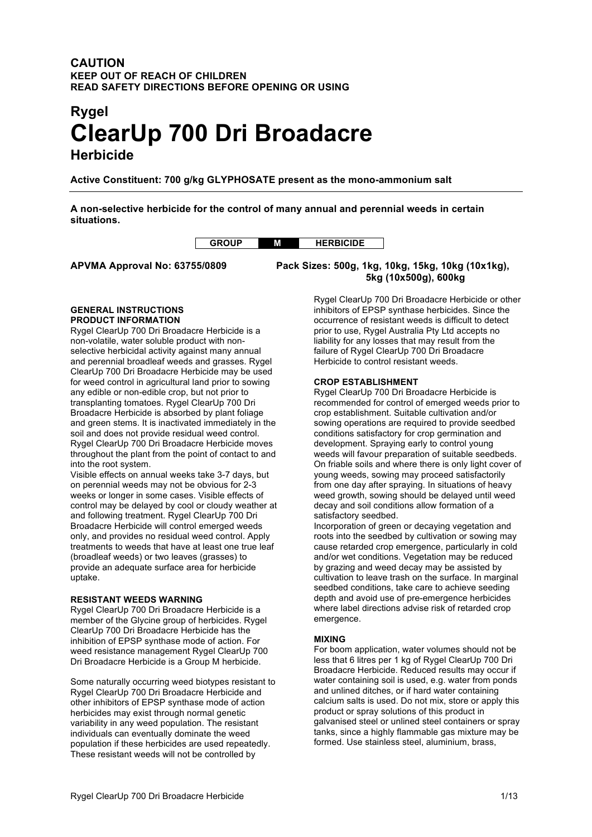# **CAUTION KEEP OUT OF REACH OF CHILDREN READ SAFETY DIRECTIONS BEFORE OPENING OR USING**

# **Rygel ClearUp 700 Dri Broadacre Herbicide**

**Active Constituent: 700 g/kg GLYPHOSATE present as the mono-ammonium salt**

**A non-selective herbicide for the control of many annual and perennial weeds in certain situations.**



**APVMA Approval No: 63755/0809 Pack Sizes: 500g, 1kg, 10kg, 15kg, 10kg (10x1kg),**

**5kg (10x500g), 600kg**

#### **GENERAL INSTRUCTIONS PRODUCT INFORMATION**

Rygel ClearUp 700 Dri Broadacre Herbicide is a non-volatile, water soluble product with nonselective herbicidal activity against many annual and perennial broadleaf weeds and grasses. Rygel ClearUp 700 Dri Broadacre Herbicide may be used for weed control in agricultural land prior to sowing any edible or non-edible crop, but not prior to transplanting tomatoes. Rygel ClearUp 700 Dri Broadacre Herbicide is absorbed by plant foliage and green stems. It is inactivated immediately in the soil and does not provide residual weed control. Rygel ClearUp 700 Dri Broadacre Herbicide moves throughout the plant from the point of contact to and into the root system.

Visible effects on annual weeks take 3-7 days, but on perennial weeds may not be obvious for 2-3 weeks or longer in some cases. Visible effects of control may be delayed by cool or cloudy weather at and following treatment. Rygel ClearUp 700 Dri Broadacre Herbicide will control emerged weeds only, and provides no residual weed control. Apply treatments to weeds that have at least one true leaf (broadleaf weeds) or two leaves (grasses) to provide an adequate surface area for herbicide uptake.

## **RESISTANT WEEDS WARNING**

Rygel ClearUp 700 Dri Broadacre Herbicide is a member of the Glycine group of herbicides. Rygel ClearUp 700 Dri Broadacre Herbicide has the inhibition of EPSP synthase mode of action. For weed resistance management Rygel ClearUp 700 Dri Broadacre Herbicide is a Group M herbicide.

Some naturally occurring weed biotypes resistant to Rygel ClearUp 700 Dri Broadacre Herbicide and other inhibitors of EPSP synthase mode of action herbicides may exist through normal genetic variability in any weed population. The resistant individuals can eventually dominate the weed population if these herbicides are used repeatedly. These resistant weeds will not be controlled by

Rygel ClearUp 700 Dri Broadacre Herbicide or other inhibitors of EPSP synthase herbicides. Since the occurrence of resistant weeds is difficult to detect prior to use, Rygel Australia Pty Ltd accepts no liability for any losses that may result from the failure of Rygel ClearUp 700 Dri Broadacre Herbicide to control resistant weeds.

## **CROP ESTABLISHMENT**

Rygel ClearUp 700 Dri Broadacre Herbicide is recommended for control of emerged weeds prior to crop establishment. Suitable cultivation and/or sowing operations are required to provide seedbed conditions satisfactory for crop germination and development. Spraying early to control young weeds will favour preparation of suitable seedbeds. On friable soils and where there is only light cover of young weeds, sowing may proceed satisfactorily from one day after spraying. In situations of heavy weed growth, sowing should be delayed until weed decay and soil conditions allow formation of a satisfactory seedbed.

Incorporation of green or decaying vegetation and roots into the seedbed by cultivation or sowing may cause retarded crop emergence, particularly in cold and/or wet conditions. Vegetation may be reduced by grazing and weed decay may be assisted by cultivation to leave trash on the surface. In marginal seedbed conditions, take care to achieve seeding depth and avoid use of pre-emergence herbicides where label directions advise risk of retarded crop emergence.

# **MIXING**

For boom application, water volumes should not be less that 6 litres per 1 kg of Rygel ClearUp 700 Dri Broadacre Herbicide. Reduced results may occur if water containing soil is used, e.g. water from ponds and unlined ditches, or if hard water containing calcium salts is used. Do not mix, store or apply this product or spray solutions of this product in galvanised steel or unlined steel containers or spray tanks, since a highly flammable gas mixture may be formed. Use stainless steel, aluminium, brass,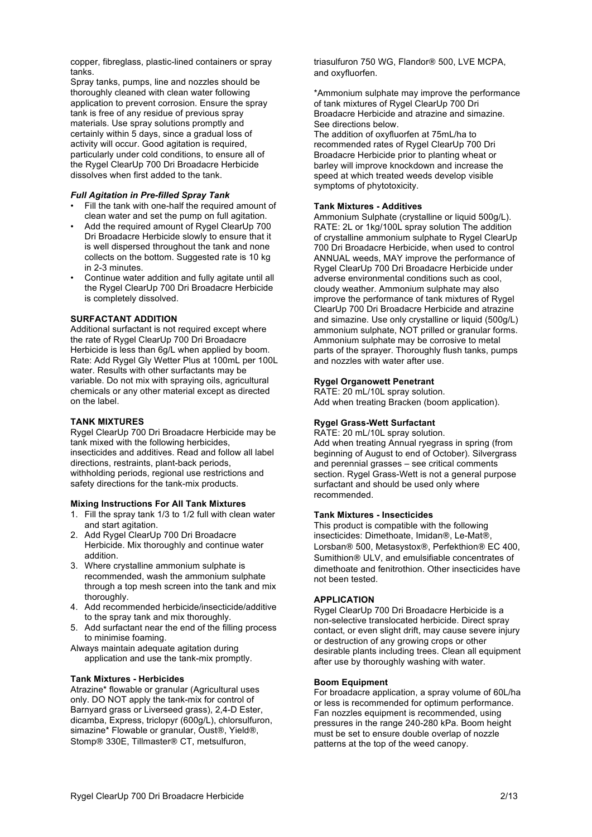copper, fibreglass, plastic-lined containers or spray tanks.

Spray tanks, pumps, line and nozzles should be thoroughly cleaned with clean water following application to prevent corrosion. Ensure the spray tank is free of any residue of previous spray materials. Use spray solutions promptly and certainly within 5 days, since a gradual loss of activity will occur. Good agitation is required, particularly under cold conditions, to ensure all of the Rygel ClearUp 700 Dri Broadacre Herbicide dissolves when first added to the tank.

## *Full Agitation in Pre-filled Spray Tank*

- Fill the tank with one-half the required amount of clean water and set the pump on full agitation.
- Add the required amount of Rygel ClearUp 700 Dri Broadacre Herbicide slowly to ensure that it is well dispersed throughout the tank and none collects on the bottom. Suggested rate is 10 kg in 2-3 minutes.
- Continue water addition and fully agitate until all the Rygel ClearUp 700 Dri Broadacre Herbicide is completely dissolved.

#### **SURFACTANT ADDITION**

Additional surfactant is not required except where the rate of Rygel ClearUp 700 Dri Broadacre Herbicide is less than 6g/L when applied by boom. Rate: Add Rygel Gly Wetter Plus at 100mL per 100L water. Results with other surfactants may be variable. Do not mix with spraying oils, agricultural chemicals or any other material except as directed on the label.

## **TANK MIXTURES**

Rygel ClearUp 700 Dri Broadacre Herbicide may be tank mixed with the following herbicides, insecticides and additives. Read and follow all label directions, restraints, plant-back periods, withholding periods, regional use restrictions and safety directions for the tank-mix products.

#### **Mixing Instructions For All Tank Mixtures**

- 1. Fill the spray tank 1/3 to 1/2 full with clean water and start agitation.
- 2. Add Rygel ClearUp 700 Dri Broadacre Herbicide. Mix thoroughly and continue water addition.
- 3. Where crystalline ammonium sulphate is recommended, wash the ammonium sulphate through a top mesh screen into the tank and mix thoroughly.
- 4. Add recommended herbicide/insecticide/additive to the spray tank and mix thoroughly.
- 5. Add surfactant near the end of the filling process to minimise foaming.

Always maintain adequate agitation during application and use the tank-mix promptly.

## **Tank Mixtures - Herbicides**

Atrazine\* flowable or granular (Agricultural uses only. DO NOT apply the tank-mix for control of Barnyard grass or Liverseed grass), 2,4-D Ester, dicamba, Express, triclopyr (600g/L), chlorsulfuron, simazine\* Flowable or granular, Oust®, Yield®, Stomp® 330E, Tillmaster® CT, metsulfuron,

triasulfuron 750 WG, Flandor® 500, LVE MCPA, and oxyfluorfen.

\*Ammonium sulphate may improve the performance of tank mixtures of Rygel ClearUp 700 Dri Broadacre Herbicide and atrazine and simazine. See directions below.

The addition of oxyfluorfen at 75mL/ha to recommended rates of Rygel ClearUp 700 Dri Broadacre Herbicide prior to planting wheat or barley will improve knockdown and increase the speed at which treated weeds develop visible symptoms of phytotoxicity.

## **Tank Mixtures - Additives**

Ammonium Sulphate (crystalline or liquid 500g/L). RATE: 2L or 1kg/100L spray solution The addition of crystalline ammonium sulphate to Rygel ClearUp 700 Dri Broadacre Herbicide, when used to control ANNUAL weeds, MAY improve the performance of Rygel ClearUp 700 Dri Broadacre Herbicide under adverse environmental conditions such as cool, cloudy weather. Ammonium sulphate may also improve the performance of tank mixtures of Rygel ClearUp 700 Dri Broadacre Herbicide and atrazine and simazine. Use only crystalline or liquid (500g/L) ammonium sulphate, NOT prilled or granular forms. Ammonium sulphate may be corrosive to metal parts of the sprayer. Thoroughly flush tanks, pumps and nozzles with water after use.

## **Rygel Organowett Penetrant**

RATE: 20 mL/10L spray solution. Add when treating Bracken (boom application).

# **Rygel Grass-Wett Surfactant**

RATE: 20 mL/10L spray solution. Add when treating Annual ryegrass in spring (from beginning of August to end of October). Silvergrass and perennial grasses – see critical comments section. Rygel Grass-Wett is not a general purpose surfactant and should be used only where recommended.

#### **Tank Mixtures - Insecticides**

This product is compatible with the following insecticides: Dimethoate, Imidan®, Le-Mat®, Lorsban® 500, Metasystox®, Perfekthion® EC 400, Sumithion® ULV, and emulsifiable concentrates of dimethoate and fenitrothion. Other insecticides have not been tested.

## **APPLICATION**

Rygel ClearUp 700 Dri Broadacre Herbicide is a non-selective translocated herbicide. Direct spray contact, or even slight drift, may cause severe injury or destruction of any growing crops or other desirable plants including trees. Clean all equipment after use by thoroughly washing with water.

#### **Boom Equipment**

For broadacre application, a spray volume of 60L/ha or less is recommended for optimum performance. Fan nozzles equipment is recommended, using pressures in the range 240-280 kPa. Boom height must be set to ensure double overlap of nozzle patterns at the top of the weed canopy.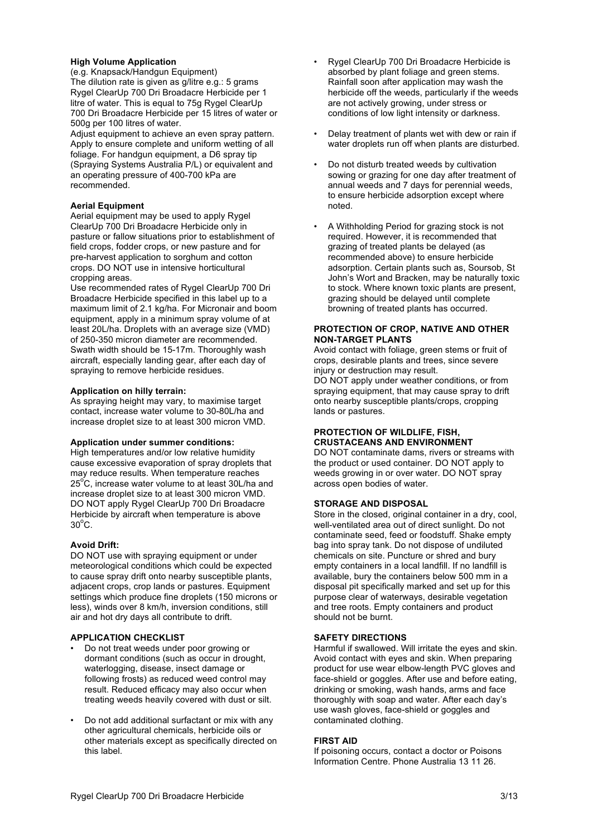## **High Volume Application**

(e.g. Knapsack/Handgun Equipment) The dilution rate is given as g/litre e.g.: 5 grams Rygel ClearUp 700 Dri Broadacre Herbicide per 1 litre of water. This is equal to 75g Rygel ClearUp 700 Dri Broadacre Herbicide per 15 litres of water or 500g per 100 litres of water.

Adjust equipment to achieve an even spray pattern. Apply to ensure complete and uniform wetting of all foliage. For handgun equipment, a D6 spray tip (Spraying Systems Australia P/L) or equivalent and an operating pressure of 400-700 kPa are recommended.

## **Aerial Equipment**

Aerial equipment may be used to apply Rygel ClearUp 700 Dri Broadacre Herbicide only in pasture or fallow situations prior to establishment of field crops, fodder crops, or new pasture and for pre-harvest application to sorghum and cotton crops. DO NOT use in intensive horticultural cropping areas.

Use recommended rates of Rygel ClearUp 700 Dri Broadacre Herbicide specified in this label up to a maximum limit of 2.1 kg/ha. For Micronair and boom equipment, apply in a minimum spray volume of at least 20L/ha. Droplets with an average size (VMD) of 250-350 micron diameter are recommended. Swath width should be 15-17m. Thoroughly wash aircraft, especially landing gear, after each day of spraying to remove herbicide residues.

## **Application on hilly terrain:**

As spraying height may vary, to maximise target contact, increase water volume to 30-80L/ha and increase droplet size to at least 300 micron VMD.

#### **Application under summer conditions:**

High temperatures and/or low relative humidity cause excessive evaporation of spray droplets that may reduce results. When temperature reaches 25<sup>°</sup>C, increase water volume to at least 30L/ha and increase droplet size to at least 300 micron VMD. DO NOT apply Rygel ClearUp 700 Dri Broadacre Herbicide by aircraft when temperature is above  $30^{\circ}$ C.

## **Avoid Drift:**

DO NOT use with spraying equipment or under meteorological conditions which could be expected to cause spray drift onto nearby susceptible plants, adjacent crops, crop lands or pastures. Equipment settings which produce fine droplets (150 microns or less), winds over 8 km/h, inversion conditions, still air and hot dry days all contribute to drift.

## **APPLICATION CHECKLIST**

- Do not treat weeds under poor growing or dormant conditions (such as occur in drought, waterlogging, disease, insect damage or following frosts) as reduced weed control may result. Reduced efficacy may also occur when treating weeds heavily covered with dust or silt.
- Do not add additional surfactant or mix with any other agricultural chemicals, herbicide oils or other materials except as specifically directed on this label.
- Rygel ClearUp 700 Dri Broadacre Herbicide is absorbed by plant foliage and green stems. Rainfall soon after application may wash the herbicide off the weeds, particularly if the weeds are not actively growing, under stress or conditions of low light intensity or darkness.
- Delay treatment of plants wet with dew or rain if water droplets run off when plants are disturbed.
- Do not disturb treated weeds by cultivation sowing or grazing for one day after treatment of annual weeds and 7 days for perennial weeds, to ensure herbicide adsorption except where noted.
- A Withholding Period for grazing stock is not required. However, it is recommended that grazing of treated plants be delayed (as recommended above) to ensure herbicide adsorption. Certain plants such as, Soursob, St John's Wort and Bracken, may be naturally toxic to stock. Where known toxic plants are present, grazing should be delayed until complete browning of treated plants has occurred.

## **PROTECTION OF CROP, NATIVE AND OTHER NON-TARGET PLANTS**

Avoid contact with foliage, green stems or fruit of crops, desirable plants and trees, since severe injury or destruction may result.

DO NOT apply under weather conditions, or from spraying equipment, that may cause spray to drift onto nearby susceptible plants/crops, cropping lands or pastures.

## **PROTECTION OF WILDLIFE, FISH, CRUSTACEANS AND ENVIRONMENT**

DO NOT contaminate dams, rivers or streams with the product or used container. DO NOT apply to weeds growing in or over water. DO NOT spray across open bodies of water.

## **STORAGE AND DISPOSAL**

Store in the closed, original container in a dry, cool, well-ventilated area out of direct sunlight. Do not contaminate seed, feed or foodstuff. Shake empty bag into spray tank. Do not dispose of undiluted chemicals on site. Puncture or shred and bury empty containers in a local landfill. If no landfill is available, bury the containers below 500 mm in a disposal pit specifically marked and set up for this purpose clear of waterways, desirable vegetation and tree roots. Empty containers and product should not be burnt.

## **SAFETY DIRECTIONS**

Harmful if swallowed. Will irritate the eyes and skin. Avoid contact with eyes and skin. When preparing product for use wear elbow-length PVC gloves and face-shield or goggles. After use and before eating, drinking or smoking, wash hands, arms and face thoroughly with soap and water. After each day's use wash gloves, face-shield or goggles and contaminated clothing.

## **FIRST AID**

If poisoning occurs, contact a doctor or Poisons Information Centre. Phone Australia 13 11 26.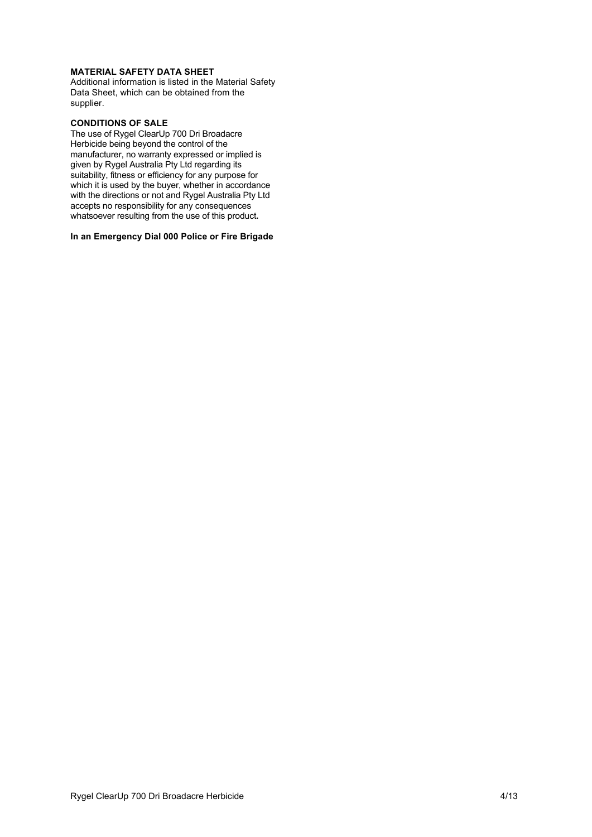# **MATERIAL SAFETY DATA SHEET**

Additional information is listed in the Material Safety Data Sheet, which can be obtained from the supplier.

## **CONDITIONS OF SALE**

The use of Rygel ClearUp 700 Dri Broadacre Herbicide being beyond the control of the manufacturer, no warranty expressed or implied is given by Rygel Australia Pty Ltd regarding its suitability, fitness or efficiency for any purpose for which it is used by the buyer, whether in accordance with the directions or not and Rygel Australia Pty Ltd accepts no responsibility for any consequences whatsoever resulting from the use of this product**.**

## **In an Emergency Dial 000 Police or Fire Brigade**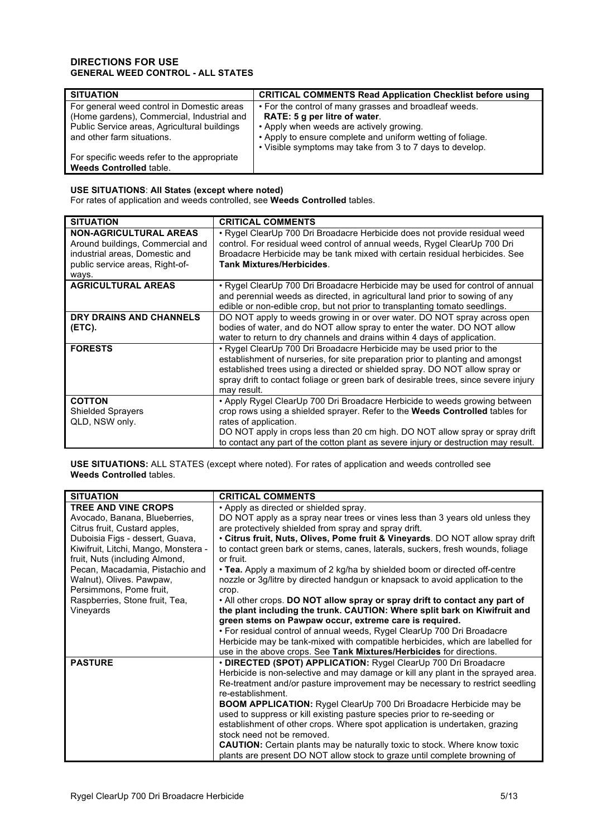# **DIRECTIONS FOR USE GENERAL WEED CONTROL - ALL STATES**

| <b>SITUATION</b>                                                                                                                                                       | <b>CRITICAL COMMENTS Read Application Checklist before using</b>                                                                                                                                  |
|------------------------------------------------------------------------------------------------------------------------------------------------------------------------|---------------------------------------------------------------------------------------------------------------------------------------------------------------------------------------------------|
| For general weed control in Domestic areas<br>(Home gardens), Commercial, Industrial and<br>Public Service areas, Agricultural buildings<br>and other farm situations. | • For the control of many grasses and broadleaf weeds.<br>RATE: 5 g per litre of water.<br>• Apply when weeds are actively growing.<br>• Apply to ensure complete and uniform wetting of foliage. |
|                                                                                                                                                                        | • Visible symptoms may take from 3 to 7 days to develop.                                                                                                                                          |
| For specific weeds refer to the appropriate                                                                                                                            |                                                                                                                                                                                                   |
| Weeds Controlled table.                                                                                                                                                |                                                                                                                                                                                                   |

# **USE SITUATIONS**: **All States (except where noted)**

For rates of application and weeds controlled, see **Weeds Controlled** tables.

| <b>SITUATION</b>                                                                                                                                | <b>CRITICAL COMMENTS</b>                                                                                                                                                                                                                                                                                                                                           |
|-------------------------------------------------------------------------------------------------------------------------------------------------|--------------------------------------------------------------------------------------------------------------------------------------------------------------------------------------------------------------------------------------------------------------------------------------------------------------------------------------------------------------------|
| <b>NON-AGRICULTURAL AREAS</b><br>Around buildings, Commercial and<br>industrial areas, Domestic and<br>public service areas, Right-of-<br>ways. | • Rygel ClearUp 700 Dri Broadacre Herbicide does not provide residual weed<br>control. For residual weed control of annual weeds, Rygel ClearUp 700 Dri<br>Broadacre Herbicide may be tank mixed with certain residual herbicides. See<br><b>Tank Mixtures/Herbicides.</b>                                                                                         |
| <b>AGRICULTURAL AREAS</b>                                                                                                                       | • Rygel ClearUp 700 Dri Broadacre Herbicide may be used for control of annual<br>and perennial weeds as directed, in agricultural land prior to sowing of any<br>edible or non-edible crop, but not prior to transplanting tomato seedlings.                                                                                                                       |
| DRY DRAINS AND CHANNELS<br>(ETC).                                                                                                               | DO NOT apply to weeds growing in or over water. DO NOT spray across open<br>bodies of water, and do NOT allow spray to enter the water. DO NOT allow<br>water to return to dry channels and drains within 4 days of application.                                                                                                                                   |
| <b>FORESTS</b>                                                                                                                                  | • Rygel ClearUp 700 Dri Broadacre Herbicide may be used prior to the<br>establishment of nurseries, for site preparation prior to planting and amongst<br>established trees using a directed or shielded spray. DO NOT allow spray or<br>spray drift to contact foliage or green bark of desirable trees, since severe injury<br>may result.                       |
| <b>COTTON</b><br><b>Shielded Sprayers</b><br>QLD, NSW only.                                                                                     | • Apply Rygel ClearUp 700 Dri Broadacre Herbicide to weeds growing between<br>crop rows using a shielded sprayer. Refer to the <b>Weeds Controlled</b> tables for<br>rates of application.<br>DO NOT apply in crops less than 20 cm high. DO NOT allow spray or spray drift<br>to contact any part of the cotton plant as severe injury or destruction may result. |

**USE SITUATIONS:** ALL STATES (except where noted). For rates of application and weeds controlled see **Weeds Controlled** tables.

| <b>SITUATION</b>                     | <b>CRITICAL COMMENTS</b>                                                         |
|--------------------------------------|----------------------------------------------------------------------------------|
| <b>TREE AND VINE CROPS</b>           | • Apply as directed or shielded spray.                                           |
| Avocado, Banana, Blueberries,        | DO NOT apply as a spray near trees or vines less than 3 years old unless they    |
| Citrus fruit, Custard apples,        | are protectively shielded from spray and spray drift.                            |
| Duboisia Figs - dessert, Guava,      | • Citrus fruit, Nuts, Olives, Pome fruit & Vineyards. DO NOT allow spray drift   |
| Kiwifruit, Litchi, Mango, Monstera - | to contact green bark or stems, canes, laterals, suckers, fresh wounds, foliage  |
| fruit, Nuts (including Almond,       | or fruit.                                                                        |
| Pecan, Macadamia, Pistachio and      | • Tea. Apply a maximum of 2 kg/ha by shielded boom or directed off-centre        |
| Walnut), Olives. Pawpaw,             | nozzle or 3g/litre by directed handgun or knapsack to avoid application to the   |
| Persimmons, Pome fruit,              | crop.                                                                            |
| Raspberries, Stone fruit, Tea,       | . All other crops. DO NOT allow spray or spray drift to contact any part of      |
| Vineyards                            | the plant including the trunk. CAUTION: Where split bark on Kiwifruit and        |
|                                      | green stems on Pawpaw occur, extreme care is required.                           |
|                                      | • For residual control of annual weeds, Rygel ClearUp 700 Dri Broadacre          |
|                                      | Herbicide may be tank-mixed with compatible herbicides, which are labelled for   |
|                                      | use in the above crops. See Tank Mixtures/Herbicides for directions.             |
| <b>PASTURE</b>                       | • DIRECTED (SPOT) APPLICATION: Rygel ClearUp 700 Dri Broadacre                   |
|                                      | Herbicide is non-selective and may damage or kill any plant in the sprayed area. |
|                                      | Re-treatment and/or pasture improvement may be necessary to restrict seedling    |
|                                      | re-establishment.                                                                |
|                                      | <b>BOOM APPLICATION:</b> Rygel ClearUp 700 Dri Broadacre Herbicide may be        |
|                                      | used to suppress or kill existing pasture species prior to re-seeding or         |
|                                      | establishment of other crops. Where spot application is undertaken, grazing      |
|                                      | stock need not be removed.                                                       |
|                                      | <b>CAUTION:</b> Certain plants may be naturally toxic to stock. Where know toxic |
|                                      | plants are present DO NOT allow stock to graze until complete browning of        |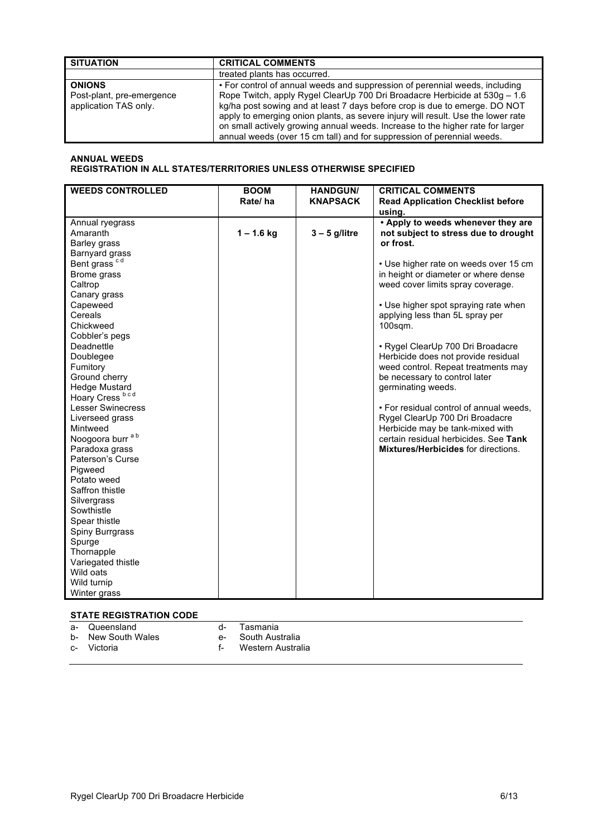| <b>SITUATION</b>                                                    | <b>CRITICAL COMMENTS</b>                                                                                                                                                                                                                                                                                                                                                                                                                                                                |
|---------------------------------------------------------------------|-----------------------------------------------------------------------------------------------------------------------------------------------------------------------------------------------------------------------------------------------------------------------------------------------------------------------------------------------------------------------------------------------------------------------------------------------------------------------------------------|
|                                                                     | treated plants has occurred.                                                                                                                                                                                                                                                                                                                                                                                                                                                            |
| <b>ONIONS</b><br>Post-plant, pre-emergence<br>application TAS only. | • For control of annual weeds and suppression of perennial weeds, including<br>Rope Twitch, apply Rygel ClearUp 700 Dri Broadacre Herbicide at 530g - 1.6<br>kg/ha post sowing and at least 7 days before crop is due to emerge. DO NOT<br>apply to emerging onion plants, as severe injury will result. Use the lower rate<br>on small actively growing annual weeds. Increase to the higher rate for larger<br>annual weeds (over 15 cm tall) and for suppression of perennial weeds. |

# **ANNUAL WEEDS REGISTRATION IN ALL STATES/TERRITORIES UNLESS OTHERWISE SPECIFIED**

| <b>WEEDS CONTROLLED</b>                                                                                                                                                                                                                                                                                  | <b>BOOM</b>  | <b>HANDGUN/</b> | <b>CRITICAL COMMENTS</b>                                            |
|----------------------------------------------------------------------------------------------------------------------------------------------------------------------------------------------------------------------------------------------------------------------------------------------------------|--------------|-----------------|---------------------------------------------------------------------|
|                                                                                                                                                                                                                                                                                                          | Rate/ha      | <b>KNAPSACK</b> | <b>Read Application Checklist before</b>                            |
|                                                                                                                                                                                                                                                                                                          |              |                 | using.                                                              |
| Annual ryegrass                                                                                                                                                                                                                                                                                          |              |                 | . Apply to weeds whenever they are                                  |
| Amaranth                                                                                                                                                                                                                                                                                                 | $1 - 1.6$ kg | $3 - 5$ g/litre | not subject to stress due to drought                                |
| <b>Barley grass</b>                                                                                                                                                                                                                                                                                      |              |                 | or frost.                                                           |
| Barnyard grass                                                                                                                                                                                                                                                                                           |              |                 |                                                                     |
| Bent grass <sup>cd</sup>                                                                                                                                                                                                                                                                                 |              |                 | • Use higher rate on weeds over 15 cm                               |
| Brome grass                                                                                                                                                                                                                                                                                              |              |                 | in height or diameter or where dense                                |
| Caltrop                                                                                                                                                                                                                                                                                                  |              |                 | weed cover limits spray coverage.                                   |
| Canary grass                                                                                                                                                                                                                                                                                             |              |                 |                                                                     |
| Capeweed                                                                                                                                                                                                                                                                                                 |              |                 | • Use higher spot spraying rate when                                |
| Cereals                                                                                                                                                                                                                                                                                                  |              |                 | applying less than 5L spray per                                     |
| Chickweed                                                                                                                                                                                                                                                                                                |              |                 | $100$ sqm.                                                          |
| Cobbler's pegs                                                                                                                                                                                                                                                                                           |              |                 |                                                                     |
| Deadnettle                                                                                                                                                                                                                                                                                               |              |                 | • Rygel ClearUp 700 Dri Broadacre                                   |
| Doublegee                                                                                                                                                                                                                                                                                                |              |                 | Herbicide does not provide residual                                 |
| Fumitory                                                                                                                                                                                                                                                                                                 |              |                 | weed control. Repeat treatments may                                 |
| Ground cherry                                                                                                                                                                                                                                                                                            |              |                 | be necessary to control later                                       |
| <b>Hedge Mustard</b>                                                                                                                                                                                                                                                                                     |              |                 | germinating weeds.                                                  |
|                                                                                                                                                                                                                                                                                                          |              |                 |                                                                     |
|                                                                                                                                                                                                                                                                                                          |              |                 | • For residual control of annual weeds,                             |
|                                                                                                                                                                                                                                                                                                          |              |                 |                                                                     |
| Mintweed                                                                                                                                                                                                                                                                                                 |              |                 |                                                                     |
|                                                                                                                                                                                                                                                                                                          |              |                 | certain residual herbicides. See Tank                               |
|                                                                                                                                                                                                                                                                                                          |              |                 | <b>Mixtures/Herbicides for directions.</b>                          |
| Paterson's Curse                                                                                                                                                                                                                                                                                         |              |                 |                                                                     |
|                                                                                                                                                                                                                                                                                                          |              |                 |                                                                     |
| Potato weed                                                                                                                                                                                                                                                                                              |              |                 |                                                                     |
|                                                                                                                                                                                                                                                                                                          |              |                 |                                                                     |
|                                                                                                                                                                                                                                                                                                          |              |                 |                                                                     |
|                                                                                                                                                                                                                                                                                                          |              |                 |                                                                     |
|                                                                                                                                                                                                                                                                                                          |              |                 |                                                                     |
|                                                                                                                                                                                                                                                                                                          |              |                 |                                                                     |
|                                                                                                                                                                                                                                                                                                          |              |                 |                                                                     |
|                                                                                                                                                                                                                                                                                                          |              |                 |                                                                     |
|                                                                                                                                                                                                                                                                                                          |              |                 |                                                                     |
|                                                                                                                                                                                                                                                                                                          |              |                 |                                                                     |
|                                                                                                                                                                                                                                                                                                          |              |                 |                                                                     |
|                                                                                                                                                                                                                                                                                                          |              |                 |                                                                     |
| Hoary Cress bcd<br><b>Lesser Swinecress</b><br>Liverseed grass<br>Noogoora burr <sup>ab</sup><br>Paradoxa grass<br>Pigweed<br>Saffron thistle<br>Silvergrass<br>Sowthistle<br>Spear thistle<br>Spiny Burrgrass<br>Spurge<br>Thornapple<br>Variegated thistle<br>Wild oats<br>Wild turnip<br>Winter grass |              |                 | Rygel ClearUp 700 Dri Broadacre<br>Herbicide may be tank-mixed with |

# **STATE REGISTRATION CODE**

| $a -$ | Queensland | Tasmania |
|-------|------------|----------|

- b- New South Wales<br>c- Victoria
- 
- 
- a- Tasmania<br>e- South Australia<br>f- Western Australia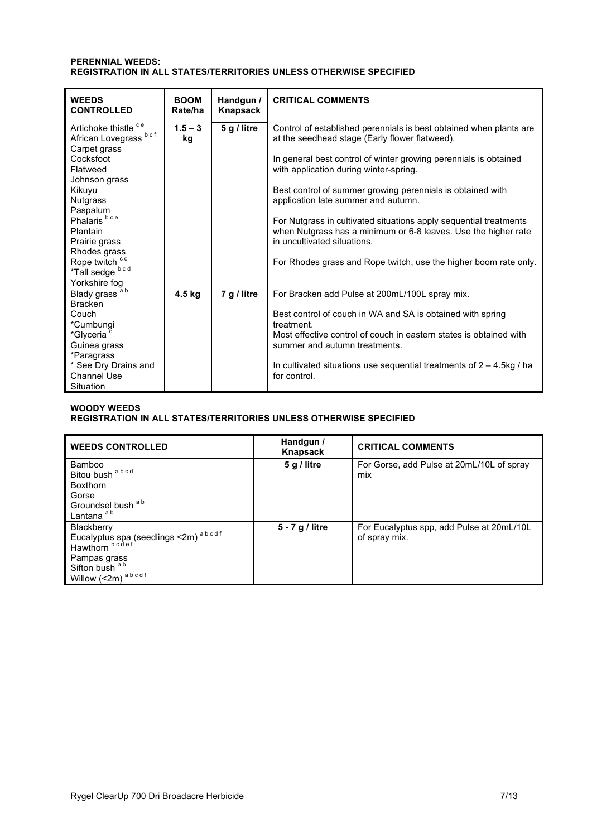## **PERENNIAL WEEDS: REGISTRATION IN ALL STATES/TERRITORIES UNLESS OTHERWISE SPECIFIED**

| <b>WEEDS</b><br><b>CONTROLLED</b>                                                                                                                                                                                                                                           | <b>BOOM</b><br>Rate/ha | Handgun /<br>Knapsack | <b>CRITICAL COMMENTS</b>                                                                                                                                                                                                                                                                                                                                                                                                                                                                                                                                                          |
|-----------------------------------------------------------------------------------------------------------------------------------------------------------------------------------------------------------------------------------------------------------------------------|------------------------|-----------------------|-----------------------------------------------------------------------------------------------------------------------------------------------------------------------------------------------------------------------------------------------------------------------------------------------------------------------------------------------------------------------------------------------------------------------------------------------------------------------------------------------------------------------------------------------------------------------------------|
| Artichoke thistle ce<br>African Lovegrass bcf<br>Carpet grass<br>Cocksfoot<br>Flatweed<br>Johnson grass<br>Kikuyu<br><b>Nutgrass</b><br>Paspalum<br>Phalaris <sup>bce</sup><br>Plantain<br>Prairie grass<br>Rhodes grass<br>Rope twitch<br>*Tall sedge bcd<br>Yorkshire fog | $1.5 - 3$<br>kg        | 5 g / litre           | Control of established perennials is best obtained when plants are<br>at the seedhead stage (Early flower flatweed).<br>In general best control of winter growing perennials is obtained<br>with application during winter-spring.<br>Best control of summer growing perennials is obtained with<br>application late summer and autumn.<br>For Nutgrass in cultivated situations apply sequential treatments<br>when Nutgrass has a minimum or 6-8 leaves. Use the higher rate<br>in uncultivated situations.<br>For Rhodes grass and Rope twitch, use the higher boom rate only. |
| Blady grass <sup>ab</sup><br><b>Bracken</b><br>Couch<br>*Cumbungi<br>*Glyceria<br>Guinea grass<br>*Paragrass<br>* See Dry Drains and<br>Channel Use<br>Situation                                                                                                            | 4.5 kg                 | 7 g / litre           | For Bracken add Pulse at 200mL/100L spray mix.<br>Best control of couch in WA and SA is obtained with spring<br>treatment.<br>Most effective control of couch in eastern states is obtained with<br>summer and autumn treatments.<br>In cultivated situations use sequential treatments of $2 - 4.5$ kg / ha<br>for control.                                                                                                                                                                                                                                                      |

# **WOODY WEEDS REGISTRATION IN ALL STATES/TERRITORIES UNLESS OTHERWISE SPECIFIED**

| <b>WEEDS CONTROLLED</b>                                                                                                       | Handgun /<br>Knapsack | <b>CRITICAL COMMENTS</b>                                   |
|-------------------------------------------------------------------------------------------------------------------------------|-----------------------|------------------------------------------------------------|
| Bamboo<br>Bitou bush abcd<br><b>Boxthorn</b><br>Gorse<br>Groundsel bush a b<br>Lantana <sup>ab</sup>                          | 5 g / litre           | For Gorse, add Pulse at 20mL/10L of spray<br>mix           |
| Blackberry<br>Eucalyptus spa (seedlings <2m) abcdf<br>Hawthorn bedef<br>Pampas grass<br>Sifton bush a b<br>Willow (<2m) abcdf | 5 - 7 g / litre       | For Eucalyptus spp, add Pulse at 20mL/10L<br>of spray mix. |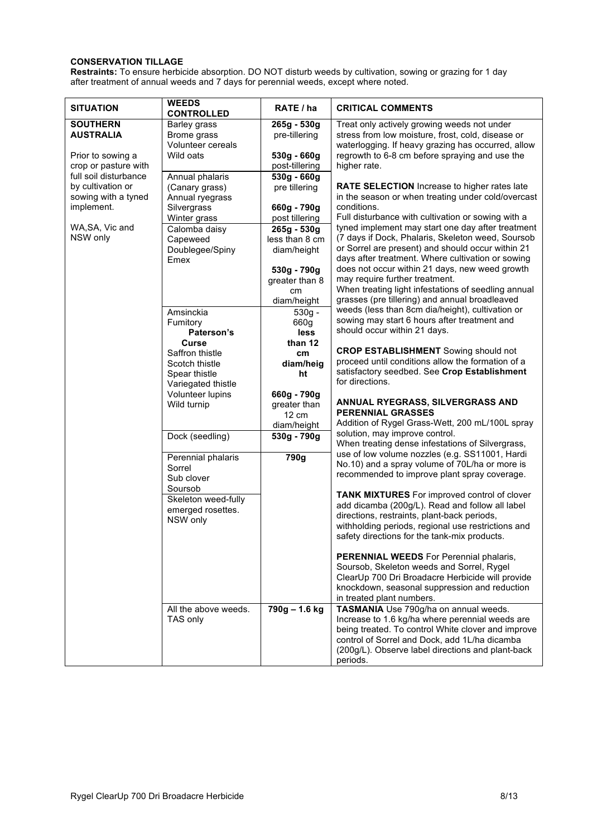# **CONSERVATION TILLAGE**

**Restraints:** To ensure herbicide absorption. DO NOT disturb weeds by cultivation, sowing or grazing for 1 day after treatment of annual weeds and 7 days for perennial weeds, except where noted.

| <b>SITUATION</b>                                                                | <b>WEEDS</b><br><b>CONTROLLED</b>                                                 | RATE / ha                                                                                                            | <b>CRITICAL COMMENTS</b>                                                                                                                                                                                                                                                                                                                                                                                                                                            |
|---------------------------------------------------------------------------------|-----------------------------------------------------------------------------------|----------------------------------------------------------------------------------------------------------------------|---------------------------------------------------------------------------------------------------------------------------------------------------------------------------------------------------------------------------------------------------------------------------------------------------------------------------------------------------------------------------------------------------------------------------------------------------------------------|
| <b>SOUTHERN</b><br><b>AUSTRALIA</b>                                             | <b>Barley grass</b><br>Brome grass<br>Volunteer cereals                           | 265g - 530g<br>pre-tillering                                                                                         | Treat only actively growing weeds not under<br>stress from low moisture, frost, cold, disease or<br>waterlogging. If heavy grazing has occurred, allow                                                                                                                                                                                                                                                                                                              |
| Prior to sowing a<br>crop or pasture with                                       | Wild oats                                                                         | 530g - 660g<br>post-tillering                                                                                        | regrowth to 6-8 cm before spraying and use the<br>higher rate.                                                                                                                                                                                                                                                                                                                                                                                                      |
| full soil disturbance<br>by cultivation or<br>sowing with a tyned<br>implement. | Annual phalaris<br>(Canary grass)<br>Annual ryegrass<br>Silvergrass               | $530g - 660g$<br>pre tillering<br>660g - 790g                                                                        | RATE SELECTION Increase to higher rates late<br>in the season or when treating under cold/overcast<br>conditions.                                                                                                                                                                                                                                                                                                                                                   |
| WA, SA, Vic and<br>NSW only                                                     | Winter grass<br>Calomba daisy<br>Capeweed<br>Doublegee/Spiny<br>Emex              | post tillering<br>265g - 530g<br>less than 8 cm<br>diam/height<br>530g - 790g<br>greater than 8<br>cm<br>diam/height | Full disturbance with cultivation or sowing with a<br>tyned implement may start one day after treatment<br>(7 days if Dock, Phalaris, Skeleton weed, Soursob<br>or Sorrel are present) and should occur within 21<br>days after treatment. Where cultivation or sowing<br>does not occur within 21 days, new weed growth<br>may require further treatment.<br>When treating light infestations of seedling annual<br>grasses (pre tillering) and annual broadleaved |
|                                                                                 | Amsinckia<br>Fumitory<br>Paterson's                                               | $530g -$<br>660g<br>less                                                                                             | weeds (less than 8cm dia/height), cultivation or<br>sowing may start 6 hours after treatment and<br>should occur within 21 days.                                                                                                                                                                                                                                                                                                                                    |
|                                                                                 | Curse<br>Saffron thistle<br>Scotch thistle<br>Spear thistle<br>Variegated thistle | than 12<br>cm<br>diam/heig<br>ht                                                                                     | <b>CROP ESTABLISHMENT</b> Sowing should not<br>proceed until conditions allow the formation of a<br>satisfactory seedbed. See Crop Establishment<br>for directions.                                                                                                                                                                                                                                                                                                 |
|                                                                                 | Volunteer lupins<br>Wild turnip                                                   | 660g - 790g<br>greater than<br>12 cm<br>diam/height                                                                  | ANNUAL RYEGRASS, SILVERGRASS AND<br><b>PERENNIAL GRASSES</b><br>Addition of Rygel Grass-Wett, 200 mL/100L spray                                                                                                                                                                                                                                                                                                                                                     |
|                                                                                 | Dock (seedling)                                                                   | 530g - 790g                                                                                                          | solution, may improve control.<br>When treating dense infestations of Silvergrass,                                                                                                                                                                                                                                                                                                                                                                                  |
|                                                                                 | Perennial phalaris<br>Sorrel<br>Sub clover                                        | 790g                                                                                                                 | use of low volume nozzles (e.g. SS11001, Hardi<br>No.10) and a spray volume of 70L/ha or more is<br>recommended to improve plant spray coverage.                                                                                                                                                                                                                                                                                                                    |
|                                                                                 | Soursob<br>Skeleton weed-fully<br>emerged rosettes.<br>NSW only                   |                                                                                                                      | <b>TANK MIXTURES</b> For improved control of clover<br>add dicamba (200g/L). Read and follow all label<br>directions, restraints, plant-back periods,<br>withholding periods, regional use restrictions and<br>safety directions for the tank-mix products.                                                                                                                                                                                                         |
|                                                                                 |                                                                                   |                                                                                                                      | PERENNIAL WEEDS For Perennial phalaris,<br>Soursob, Skeleton weeds and Sorrel, Rygel<br>ClearUp 700 Dri Broadacre Herbicide will provide<br>knockdown, seasonal suppression and reduction<br>in treated plant numbers.                                                                                                                                                                                                                                              |
|                                                                                 | All the above weeds.<br>TAS only                                                  | 790g - 1.6 kg                                                                                                        | TASMANIA Use 790g/ha on annual weeds.<br>Increase to 1.6 kg/ha where perennial weeds are<br>being treated. To control White clover and improve<br>control of Sorrel and Dock, add 1L/ha dicamba<br>(200g/L). Observe label directions and plant-back<br>periods.                                                                                                                                                                                                    |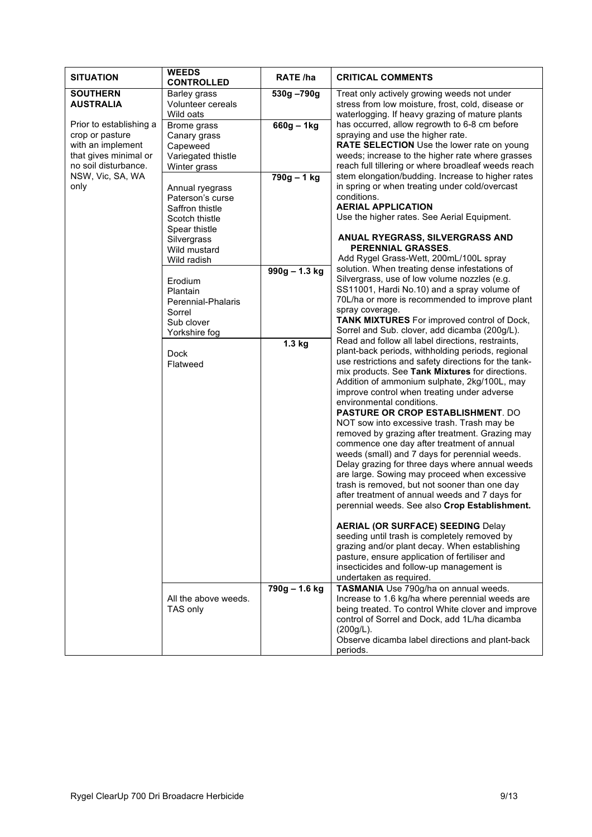| <b>SITUATION</b>                                                                                                                             | <b>WEEDS</b><br><b>CONTROLLED</b>                                                                                                                                                                                                                                                                                                         | RATE /ha                                                                    | <b>CRITICAL COMMENTS</b>                                                                                                                                                                                                                                                                                                                                                                                                                                                                                                                                                                                                                                                                                                                                                                                                                                                                                                                                                                                                                                                                                                                                                                                                                                                                                                                                                                                                                                                                                                                                                                                                                                                                                                                                                                                                                                                                                                                                                                                                                       |
|----------------------------------------------------------------------------------------------------------------------------------------------|-------------------------------------------------------------------------------------------------------------------------------------------------------------------------------------------------------------------------------------------------------------------------------------------------------------------------------------------|-----------------------------------------------------------------------------|------------------------------------------------------------------------------------------------------------------------------------------------------------------------------------------------------------------------------------------------------------------------------------------------------------------------------------------------------------------------------------------------------------------------------------------------------------------------------------------------------------------------------------------------------------------------------------------------------------------------------------------------------------------------------------------------------------------------------------------------------------------------------------------------------------------------------------------------------------------------------------------------------------------------------------------------------------------------------------------------------------------------------------------------------------------------------------------------------------------------------------------------------------------------------------------------------------------------------------------------------------------------------------------------------------------------------------------------------------------------------------------------------------------------------------------------------------------------------------------------------------------------------------------------------------------------------------------------------------------------------------------------------------------------------------------------------------------------------------------------------------------------------------------------------------------------------------------------------------------------------------------------------------------------------------------------------------------------------------------------------------------------------------------------|
| <b>SOUTHERN</b><br><b>AUSTRALIA</b>                                                                                                          | <b>Barley grass</b><br>Volunteer cereals<br>Wild oats                                                                                                                                                                                                                                                                                     | 530g-790g                                                                   | Treat only actively growing weeds not under<br>stress from low moisture, frost, cold, disease or<br>waterlogging. If heavy grazing of mature plants                                                                                                                                                                                                                                                                                                                                                                                                                                                                                                                                                                                                                                                                                                                                                                                                                                                                                                                                                                                                                                                                                                                                                                                                                                                                                                                                                                                                                                                                                                                                                                                                                                                                                                                                                                                                                                                                                            |
| Prior to establishing a<br>crop or pasture<br>with an implement<br>that gives minimal or<br>no soil disturbance.<br>NSW, Vic, SA, WA<br>only | Brome grass<br>Canary grass<br>Capeweed<br>Variegated thistle<br>Winter grass<br>Annual ryegrass<br>Paterson's curse<br>Saffron thistle<br>Scotch thistle<br>Spear thistle<br>Silvergrass<br>Wild mustard<br>Wild radish<br>Erodium<br>Plantain<br>Perennial-Phalaris<br>Sorrel<br>Sub clover<br>Yorkshire fog<br><b>Dock</b><br>Flatweed | $660g - 1kg$<br>790g - 1 kg<br>$990q - 1.3$ kg<br>$1.3$ kg<br>790g - 1.6 kg | has occurred, allow regrowth to 6-8 cm before<br>spraying and use the higher rate.<br>RATE SELECTION Use the lower rate on young<br>weeds; increase to the higher rate where grasses<br>reach full tillering or where broadleaf weeds reach<br>stem elongation/budding. Increase to higher rates<br>in spring or when treating under cold/overcast<br>conditions.<br><b>AERIAL APPLICATION</b><br>Use the higher rates. See Aerial Equipment.<br>ANUAL RYEGRASS, SILVERGRASS AND<br><b>PERENNIAL GRASSES.</b><br>Add Rygel Grass-Wett, 200mL/100L spray<br>solution. When treating dense infestations of<br>Silvergrass, use of low volume nozzles (e.g.<br>SS11001, Hardi No.10) and a spray volume of<br>70L/ha or more is recommended to improve plant<br>spray coverage.<br>TANK MIXTURES For improved control of Dock,<br>Sorrel and Sub. clover, add dicamba (200g/L).<br>Read and follow all label directions, restraints,<br>plant-back periods, withholding periods, regional<br>use restrictions and safety directions for the tank-<br>mix products. See Tank Mixtures for directions.<br>Addition of ammonium sulphate, 2kg/100L, may<br>improve control when treating under adverse<br>environmental conditions.<br><b>PASTURE OR CROP ESTABLISHMENT. DO</b><br>NOT sow into excessive trash. Trash may be<br>removed by grazing after treatment. Grazing may<br>commence one day after treatment of annual<br>weeds (small) and 7 days for perennial weeds.<br>Delay grazing for three days where annual weeds<br>are large. Sowing may proceed when excessive<br>trash is removed, but not sooner than one day<br>after treatment of annual weeds and 7 days for<br>perennial weeds. See also Crop Establishment.<br><b>AERIAL (OR SURFACE) SEEDING Delay</b><br>seeding until trash is completely removed by<br>grazing and/or plant decay. When establishing<br>pasture, ensure application of fertiliser and<br>insecticides and follow-up management is<br>undertaken as required.<br>TASMANIA Use 790g/ha on annual weeds. |
|                                                                                                                                              | All the above weeds.<br>TAS only                                                                                                                                                                                                                                                                                                          |                                                                             | Increase to 1.6 kg/ha where perennial weeds are<br>being treated. To control White clover and improve<br>control of Sorrel and Dock, add 1L/ha dicamba<br>(200g/L).<br>Observe dicamba label directions and plant-back<br>periods.                                                                                                                                                                                                                                                                                                                                                                                                                                                                                                                                                                                                                                                                                                                                                                                                                                                                                                                                                                                                                                                                                                                                                                                                                                                                                                                                                                                                                                                                                                                                                                                                                                                                                                                                                                                                             |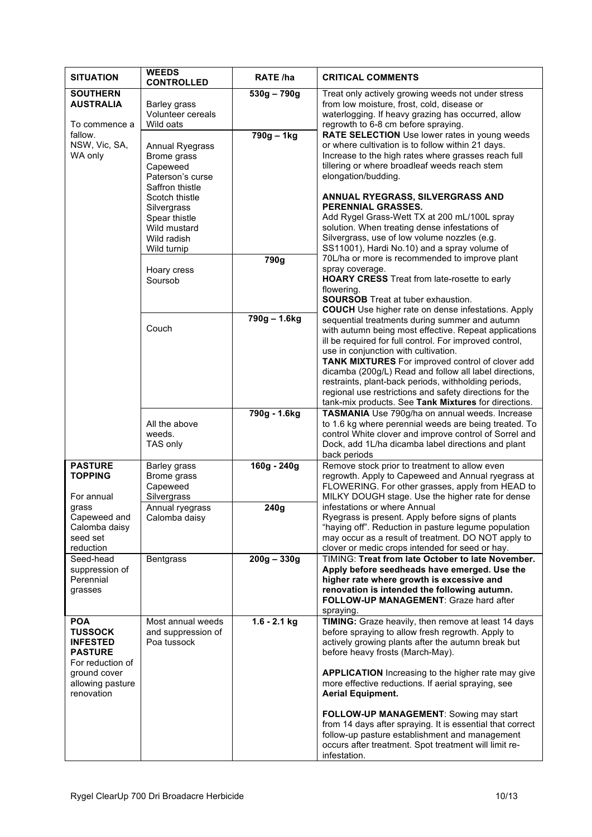| <b>SITUATION</b>                                                                                                                                       | <b>CONTROLLED</b>                                      | RATE /ha       | <b>CRITICAL COMMENTS</b>                                                                                                                                                                                                                                                                                                                                                                                                                                                                                                                                            |
|--------------------------------------------------------------------------------------------------------------------------------------------------------|--------------------------------------------------------|----------------|---------------------------------------------------------------------------------------------------------------------------------------------------------------------------------------------------------------------------------------------------------------------------------------------------------------------------------------------------------------------------------------------------------------------------------------------------------------------------------------------------------------------------------------------------------------------|
| <b>SOUTHERN</b><br><b>AUSTRALIA</b><br>Barley grass<br>Wild oats<br>To commence a                                                                      | Volunteer cereals                                      | $530g - 790g$  | Treat only actively growing weeds not under stress<br>from low moisture, frost, cold, disease or<br>waterlogging. If heavy grazing has occurred, allow<br>regrowth to 6-8 cm before spraying.                                                                                                                                                                                                                                                                                                                                                                       |
| fallow.<br>NSW, Vic, SA,<br>WA only<br>Brome grass<br>Capeweed<br>Scotch thistle<br>Silvergrass<br>Spear thistle                                       | Annual Ryegrass<br>Paterson's curse<br>Saffron thistle | 790g - 1kg     | RATE SELECTION Use lower rates in young weeds<br>or where cultivation is to follow within 21 days.<br>Increase to the high rates where grasses reach full<br>tillering or where broadleaf weeds reach stem<br>elongation/budding.<br>ANNUAL RYEGRASS, SILVERGRASS AND<br>PERENNIAL GRASSES.<br>Add Rygel Grass-Wett TX at 200 mL/100L spray                                                                                                                                                                                                                         |
| Wild mustard<br>Wild radish<br>Wild turnip                                                                                                             |                                                        |                | solution. When treating dense infestations of<br>Silvergrass, use of low volume nozzles (e.g.<br>SS11001), Hardi No.10) and a spray volume of                                                                                                                                                                                                                                                                                                                                                                                                                       |
| Hoary cress<br>Soursob                                                                                                                                 |                                                        | 790g           | 70L/ha or more is recommended to improve plant<br>spray coverage.<br><b>HOARY CRESS</b> Treat from late-rosette to early<br>flowering.<br><b>SOURSOB</b> Treat at tuber exhaustion.<br><b>COUCH</b> Use higher rate on dense infestations. Apply                                                                                                                                                                                                                                                                                                                    |
| Couch                                                                                                                                                  |                                                        | 790g - 1.6kg   | sequential treatments during summer and autumn<br>with autumn being most effective. Repeat applications<br>ill be required for full control. For improved control,<br>use in conjunction with cultivation.<br>TANK MIXTURES For improved control of clover add<br>dicamba (200g/L) Read and follow all label directions,<br>restraints, plant-back periods, withholding periods,<br>regional use restrictions and safety directions for the<br>tank-mix products. See Tank Mixtures for directions.                                                                 |
| All the above<br>weeds.<br>TAS only                                                                                                                    |                                                        | 790g - 1.6kg   | TASMANIA Use 790g/ha on annual weeds. Increase<br>to 1.6 kg where perennial weeds are being treated. To<br>control White clover and improve control of Sorrel and<br>Dock, add 1L/ha dicamba label directions and plant<br>back periods                                                                                                                                                                                                                                                                                                                             |
| <b>PASTURE</b><br><b>Barley grass</b><br><b>TOPPING</b><br>Brome grass<br>Capeweed<br>Silvergrass<br>For annual                                        |                                                        | $160g - 240g$  | Remove stock prior to treatment to allow even<br>regrowth. Apply to Capeweed and Annual ryegrass at<br>FLOWERING. For other grasses, apply from HEAD to<br>MILKY DOUGH stage. Use the higher rate for dense                                                                                                                                                                                                                                                                                                                                                         |
| grass<br>Capeweed and<br>Calomba daisy<br>seed set<br>reduction                                                                                        | Annual ryegrass<br>Calomba daisy                       | 240g           | infestations or where Annual<br>Ryegrass is present. Apply before signs of plants<br>"haying off". Reduction in pasture legume population<br>may occur as a result of treatment. DO NOT apply to<br>clover or medic crops intended for seed or hay.                                                                                                                                                                                                                                                                                                                 |
| Seed-head<br><b>Bentgrass</b><br>suppression of<br>Perennial<br>grasses                                                                                |                                                        | $200g - 330g$  | TIMING: Treat from late October to late November.<br>Apply before seedheads have emerged. Use the<br>higher rate where growth is excessive and<br>renovation is intended the following autumn.<br>FOLLOW-UP MANAGEMENT: Graze hard after<br>spraying.                                                                                                                                                                                                                                                                                                               |
| <b>POA</b><br><b>TUSSOCK</b><br><b>INFESTED</b><br>Poa tussock<br><b>PASTURE</b><br>For reduction of<br>ground cover<br>allowing pasture<br>renovation | Most annual weeds<br>and suppression of                | $1.6 - 2.1$ kg | TIMING: Graze heavily, then remove at least 14 days<br>before spraying to allow fresh regrowth. Apply to<br>actively growing plants after the autumn break but<br>before heavy frosts (March-May).<br><b>APPLICATION</b> Increasing to the higher rate may give<br>more effective reductions. If aerial spraying, see<br><b>Aerial Equipment.</b><br>FOLLOW-UP MANAGEMENT: Sowing may start<br>from 14 days after spraying. It is essential that correct<br>follow-up pasture establishment and management<br>occurs after treatment. Spot treatment will limit re- |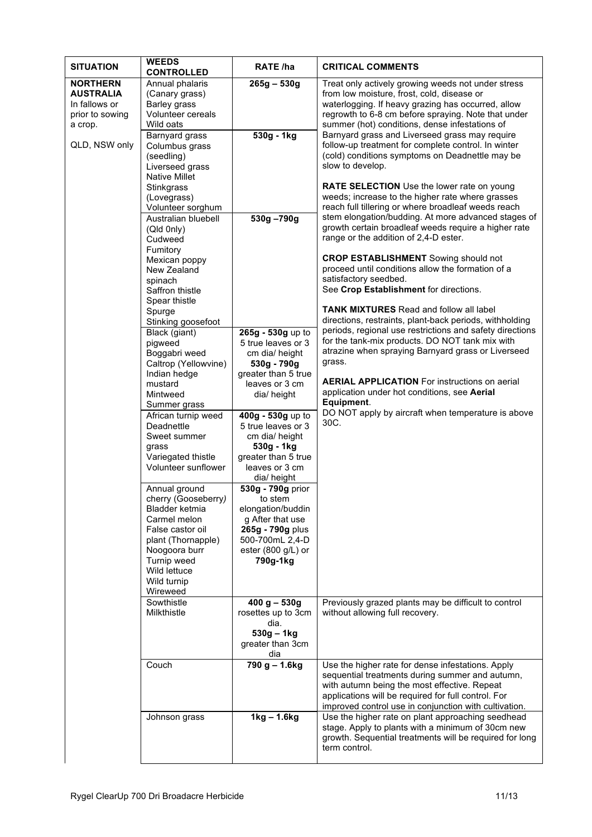| <b>SITUATION</b>                                                                                                                                             | <b>WEEDS</b><br><b>CONTROLLED</b>                                                                                                                                                                                                                                                                  | RATE /ha                                                                                                                                       | <b>CRITICAL COMMENTS</b>                                                                                                                                                                                                                                                                                                                                                                                       |
|--------------------------------------------------------------------------------------------------------------------------------------------------------------|----------------------------------------------------------------------------------------------------------------------------------------------------------------------------------------------------------------------------------------------------------------------------------------------------|------------------------------------------------------------------------------------------------------------------------------------------------|----------------------------------------------------------------------------------------------------------------------------------------------------------------------------------------------------------------------------------------------------------------------------------------------------------------------------------------------------------------------------------------------------------------|
| <b>NORTHERN</b><br><b>AUSTRALIA</b><br>In fallows or<br>prior to sowing<br>a crop.                                                                           | Annual phalaris<br>(Canary grass)<br>Barley grass<br>Volunteer cereals<br>Wild oats                                                                                                                                                                                                                | $265g - 530g$                                                                                                                                  | Treat only actively growing weeds not under stress<br>from low moisture, frost, cold, disease or<br>waterlogging. If heavy grazing has occurred, allow<br>regrowth to 6-8 cm before spraying. Note that under<br>summer (hot) conditions, dense infestations of                                                                                                                                                |
| QLD, NSW only                                                                                                                                                | Barnyard grass<br>Columbus grass<br>(seedling)<br>Liverseed grass<br><b>Native Millet</b><br>Stinkgrass<br>(Lovegrass)<br>Volunteer sorghum                                                                                                                                                        | 530g - 1kg                                                                                                                                     | Barnyard grass and Liverseed grass may require<br>follow-up treatment for complete control. In winter<br>(cold) conditions symptoms on Deadnettle may be<br>slow to develop.<br>RATE SELECTION Use the lower rate on young<br>weeds; increase to the higher rate where grasses<br>reach full tillering or where broadleaf weeds reach                                                                          |
| Australian bluebell<br>530g-790g<br>(Qld 0nly)<br>Cudweed<br>Fumitory<br>Mexican poppy<br>New Zealand<br>satisfactory seedbed.<br>spinach<br>Saffron thistle | stem elongation/budding. At more advanced stages of<br>growth certain broadleaf weeds require a higher rate<br>range or the addition of 2,4-D ester.<br><b>CROP ESTABLISHMENT</b> Sowing should not<br>proceed until conditions allow the formation of a<br>See Crop Establishment for directions. |                                                                                                                                                |                                                                                                                                                                                                                                                                                                                                                                                                                |
|                                                                                                                                                              | Spear thistle<br>Spurge<br>Stinking goosefoot<br>Black (giant)<br>pigweed<br>Boggabri weed<br>Caltrop (Yellowvine)<br>Indian hedge<br>mustard<br>Mintweed                                                                                                                                          | 265g - 530g up to<br>5 true leaves or 3<br>cm dia/ height<br>530g - 790g<br>greater than 5 true<br>leaves or 3 cm<br>dia/ height               | <b>TANK MIXTURES</b> Read and follow all label<br>directions, restraints, plant-back periods, withholding<br>periods, regional use restrictions and safety directions<br>for the tank-mix products. DO NOT tank mix with<br>atrazine when spraying Barnyard grass or Liverseed<br>grass.<br><b>AERIAL APPLICATION</b> For instructions on aerial<br>application under hot conditions, see Aerial<br>Equipment. |
|                                                                                                                                                              | Summer grass<br>African turnip weed<br>Deadnettle<br>Sweet summer<br>grass<br>Variegated thistle<br>Volunteer sunflower                                                                                                                                                                            | 400g - 530g up to<br>5 true leaves or 3<br>cm dia/ height<br>530g - 1kg<br>greater than 5 true<br>leaves or 3 cm<br>dia/height                 | DO NOT apply by aircraft when temperature is above<br>30C.                                                                                                                                                                                                                                                                                                                                                     |
|                                                                                                                                                              | Annual ground<br>cherry (Gooseberry)<br>Bladder ketmia<br>Carmel melon<br>False castor oil<br>plant (Thornapple)<br>Noogoora burr<br>Turnip weed<br>Wild lettuce<br>Wild turnip<br>Wireweed                                                                                                        | 530g - 790g prior<br>to stem<br>elongation/buddin<br>g After that use<br>265g - 790g plus<br>500-700mL 2,4-D<br>ester (800 g/L) or<br>790g-1kg |                                                                                                                                                                                                                                                                                                                                                                                                                |
|                                                                                                                                                              | Sowthistle<br>Milkthistle                                                                                                                                                                                                                                                                          | $400 g - 530g$<br>rosettes up to 3cm<br>dia.<br>$530g - 1kg$<br>greater than 3cm<br>dia                                                        | Previously grazed plants may be difficult to control<br>without allowing full recovery.                                                                                                                                                                                                                                                                                                                        |
|                                                                                                                                                              | Couch                                                                                                                                                                                                                                                                                              | 790 g - 1.6kg                                                                                                                                  | Use the higher rate for dense infestations. Apply<br>sequential treatments during summer and autumn,<br>with autumn being the most effective. Repeat<br>applications will be required for full control. For<br>improved control use in conjunction with cultivation.                                                                                                                                           |
|                                                                                                                                                              | Johnson grass                                                                                                                                                                                                                                                                                      | $1kg - 1.6kg$                                                                                                                                  | Use the higher rate on plant approaching seedhead<br>stage. Apply to plants with a minimum of 30cm new<br>growth. Sequential treatments will be required for long<br>term control.                                                                                                                                                                                                                             |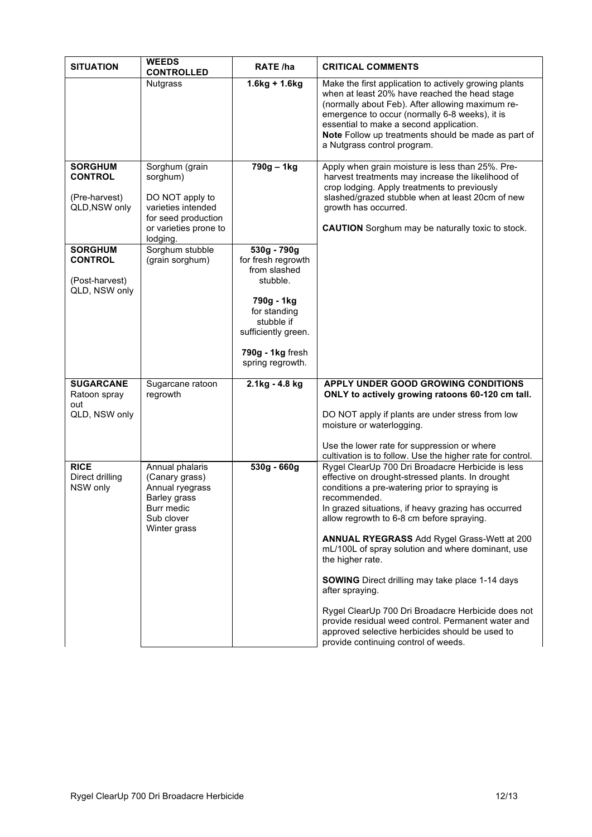| <b>SITUATION</b>                                                    | <b>WEEDS</b><br><b>CONTROLLED</b>                                                                                               | <b>RATE /ha</b>                                                                                                                                                          | <b>CRITICAL COMMENTS</b>                                                                                                                                                                                                                                                                                                                                                                                                                                                                                                                                                                                                                                                                       |
|---------------------------------------------------------------------|---------------------------------------------------------------------------------------------------------------------------------|--------------------------------------------------------------------------------------------------------------------------------------------------------------------------|------------------------------------------------------------------------------------------------------------------------------------------------------------------------------------------------------------------------------------------------------------------------------------------------------------------------------------------------------------------------------------------------------------------------------------------------------------------------------------------------------------------------------------------------------------------------------------------------------------------------------------------------------------------------------------------------|
|                                                                     | <b>Nutgrass</b>                                                                                                                 | $1.6$ kg + 1.6kg                                                                                                                                                         | Make the first application to actively growing plants<br>when at least 20% have reached the head stage<br>(normally about Feb). After allowing maximum re-<br>emergence to occur (normally 6-8 weeks), it is<br>essential to make a second application.<br>Note Follow up treatments should be made as part of<br>a Nutgrass control program.                                                                                                                                                                                                                                                                                                                                                  |
| <b>SORGHUM</b><br><b>CONTROL</b><br>(Pre-harvest)<br>QLD, NSW only  | Sorghum (grain<br>sorghum)<br>DO NOT apply to<br>varieties intended<br>for seed production<br>or varieties prone to<br>lodging. | 790g - 1kg                                                                                                                                                               | Apply when grain moisture is less than 25%. Pre-<br>harvest treatments may increase the likelihood of<br>crop lodging. Apply treatments to previously<br>slashed/grazed stubble when at least 20cm of new<br>growth has occurred.<br><b>CAUTION</b> Sorghum may be naturally toxic to stock.                                                                                                                                                                                                                                                                                                                                                                                                   |
| <b>SORGHUM</b><br><b>CONTROL</b><br>(Post-harvest)<br>QLD, NSW only | Sorghum stubble<br>(grain sorghum)                                                                                              | 530g - 790g<br>for fresh regrowth<br>from slashed<br>stubble.<br>790g - 1kg<br>for standing<br>stubble if<br>sufficiently green.<br>790g - 1kg fresh<br>spring regrowth. |                                                                                                                                                                                                                                                                                                                                                                                                                                                                                                                                                                                                                                                                                                |
| <b>SUGARCANE</b><br>Ratoon spray<br>out<br>QLD, NSW only            | Sugarcane ratoon<br>regrowth                                                                                                    | 2.1kg - 4.8 kg                                                                                                                                                           | APPLY UNDER GOOD GROWING CONDITIONS<br>ONLY to actively growing ratoons 60-120 cm tall.<br>DO NOT apply if plants are under stress from low<br>moisture or waterlogging.<br>Use the lower rate for suppression or where<br>cultivation is to follow. Use the higher rate for control.                                                                                                                                                                                                                                                                                                                                                                                                          |
| <b>RICE</b><br>Direct drilling<br>NSW only                          | Annual phalaris<br>(Canary grass)<br>Annual ryegrass<br>Barley grass<br>Burr medic<br>Sub clover<br>Winter grass                | 530g - 660g                                                                                                                                                              | Rygel ClearUp 700 Dri Broadacre Herbicide is less<br>effective on drought-stressed plants. In drought<br>conditions a pre-watering prior to spraying is<br>recommended.<br>In grazed situations, if heavy grazing has occurred<br>allow regrowth to 6-8 cm before spraying.<br><b>ANNUAL RYEGRASS Add Rygel Grass-Wett at 200</b><br>mL/100L of spray solution and where dominant, use<br>the higher rate.<br><b>SOWING</b> Direct drilling may take place 1-14 days<br>after spraying.<br>Rygel ClearUp 700 Dri Broadacre Herbicide does not<br>provide residual weed control. Permanent water and<br>approved selective herbicides should be used to<br>provide continuing control of weeds. |